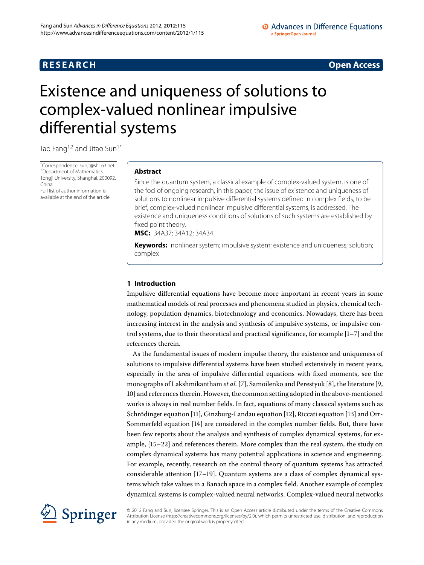## **RESEARCH CONSTRUCTER ACCESS**

#### • Advances in Difference Equations a SpringerOpen Journal

# <span id="page-0-0"></span>Existence and uniqueness of solutions to complex-valued nonlinear impulsive differential systems

Tao Fang<sup>[1](#page-7-0)[,2](#page-7-1)</sup> and Jitao Sun<sup>1[\\*](#page-0-0)</sup>

\* Correspondence: [sunjt@sh163.net](mailto:sunjt@sh163.net) <sup>[1](#page-7-0)</sup> Department of Mathematics, Tongji University, Shanghai, 200092, China Full list of author information is

available at the end of the article

#### **Abstract**

Since the quantum system, a classical example of complex-valued system, is one of the foci of ongoing research, in this paper, the issue of existence and uniqueness of solutions to nonlinear impulsive differential systems defined in complex fields, to be brief, complex-valued nonlinear impulsive differential systems, is addressed. The existence and uniqueness conditions of solutions of such systems are established by fixed point theory.

**MSC:** 34A37; 34A12; 34A34

**Keywords:** nonlinear system; impulsive system; existence and uniqueness; solution; complex

#### **1 Introduction**

Impulsive differential equations have become more important in recent years in some mathematical models of real processes and phenomena studied in physics, chemical technology, population dynamics, biotechnology and economics. Nowadays, there has been increasing interest in the analysis and synthesis of impulsive systems, or impulsive control systems, due to their theoretical and practical significance, for example  $[1-7]$  $[1-7]$  and the references therein.

As the fundamental issues of modern impulse theory, the existence and uniqueness of solutions to impulsive differential systems have been studied extensively in recent years, especially in the area of impulsive differential equations with fixed moments, see the monographs of Lakshmikantham *et al.* [\[](#page-7-4)7][,](#page-7-5) Samoilenko and Perestyuk [8], the literature [9, [\]](#page-7-6) and references therein. However, the common setting adopted in the above-mentioned works is always in real number fields. In fact, equations of many classical systems such as Schrödinger equation [11[\]](#page-7-8), Ginzburg-Landau equation [12], Riccati equation [13] and Orr-Sommerfeld equation [14[\]](#page-7-10) are considered in the complex number fields. But, there have been few reports about the analysis and synthesis of complex dynamical systems, for ex-ample, [\[](#page-8-0)15-22] and references therein. More complex than the real system, the study on complex dynamical systems has many potential applications in science and engineering. For example, recently, research on the control theory of quantum systems has attracted considerable attention  $[17–19]$  $[17–19]$  $[17–19]$  $[17–19]$ . Quantum systems are a class of complex dynamical systems which take values in a Banach space in a complex field. Another example of complex dynamical systems is complex-valued neural networks. Complex-valued neural networks



© 2012 Fang and Sun; licensee Springer. This is an Open Access article distributed under the terms of the Creative Commons Attribution License [\(http://creativecommons.org/licenses/by/2.0](http://creativecommons.org/licenses/by/2.0)), which permits unrestricted use, distribution, and reproduction in any medium, provided the original work is properly cited.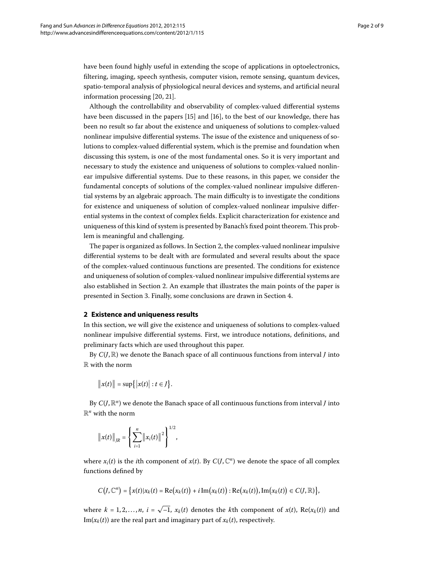have been found highly useful in extending the scope of applications in optoelectronics, filtering, imaging, speech synthesis, computer vision, remote sensing, quantum devices, spatio-temporal analysis of physiological neural devices and systems, and artificial neural information processing  $[20, 21]$  $[20, 21]$  $[20, 21]$  $[20, 21]$ .

Although the controllability and observability of complex-valued differential systems have been discussed in the papers [\[](#page-8-6)15] and [16], to the best of our knowledge, there has been no result so far about the existence and uniqueness of solutions to complex-valued nonlinear impulsive differential systems. The issue of the existence and uniqueness of solutions to complex-valued differential system, which is the premise and foundation when discussing this system, is one of the most fundamental ones. So it is very important and necessary to study the existence and uniqueness of solutions to complex-valued nonlinear impulsive differential systems. Due to these reasons, in this paper, we consider the fundamental concepts of solutions of the complex-valued nonlinear impulsive differential systems by an algebraic approach. The main difficulty is to investigate the conditions for existence and uniqueness of solution of complex-valued nonlinear impulsive differential systems in the context of complex fields. Explicit characterization for existence and uniqueness of this kind of system is presented by Banach's fixed point theorem. This problem is meaningful and challenging.

<span id="page-1-0"></span>The paper is organized as follows. In Section 2[,](#page-1-0) the complex-valued nonlinear impulsive differential systems to be dealt with are formulated and several results about the space of the complex-valued continuous functions are presented. The conditions for existence and uniqueness of solution of complex-valued nonlinear impulsive differential systems are also established in Section 2. An example that illustrates the main points of the paper is presented in Section 3. Finally, some conclusions are drawn in Section 4.

#### **2 Existence and uniqueness results**

In this section, we will give the existence and uniqueness of solutions to complex-valued nonlinear impulsive differential systems. First, we introduce notations, definitions, and preliminary facts which are used throughout this paper.

By  $C(J,\mathbb{R})$  we denote the Banach space of all continuous functions from interval *J* into R with the norm

$$
\|x(t)\|=\sup\{|x(t)|:t\in J\}.
$$

By  $C(J,\mathbb{R}^n)$  we denote the Banach space of all continuous functions from interval *J* into  $\mathbb{R}^n$  with the norm

$$
\left\|x(t)\right\|_{IR} = \left\{\sum_{i=1}^n \left\|x_i(t)\right\|^2\right\}^{1/2},\,
$$

where  $x_i(t)$  is the *i*th component of  $x(t)$ . By  $C(J, \mathbb{C}^n)$  we denote the space of all complex functions defined by

$$
C\big(\mathcal{J},\mathbb{C}^n\big)=\big\{x(t)|x_k(t)=\text{Re}\big(x_k(t)\big)+i\,\text{Im}\big(x_k(t)\big):\text{Re}\big(x_k(t)\big),\text{Im}\big(x_k(t)\big)\in C(\mathcal{J},\mathbb{R})\big\},\
$$

where  $k = 1, 2, \ldots, n$ ,  $i = \sqrt{-1}$ ,  $x_k(t)$  denotes the *k*th component of  $x(t)$ , Re( $x_k(t)$ ) and Im( $x_k(t)$ ) are the real part and imaginary part of  $x_k(t)$ , respectively.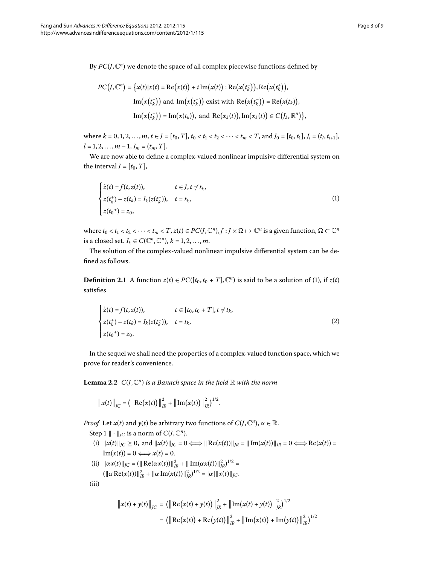<span id="page-2-0"></span>
$$
PC(J, \mathbb{C}^n) = \{x(t)|x(t) = \text{Re}(x(t)) + i \text{Im}(x(t)) : \text{Re}(x(t_k^+)), \text{Re}(x(t_k^+)),
$$
  
\n
$$
\text{Im}(x(t_k^-)) \text{ and } \text{Im}(x(t_k^+)) \text{ exist with } \text{Re}(x(t_k^-)) = \text{Re}(x(t_k)),
$$
  
\n
$$
\text{Im}(x(t_k^-)) = \text{Im}(x(t_k)), \text{ and } \text{Re}(x_k(t)), \text{Im}(x_k(t)) \in C(J_k, \mathbb{R}^n) \},
$$

where  $k = 0, 1, 2, \ldots, m, t \in J = [t_0, T], t_0 < t_1 < t_2 < \cdots < t_m < T$ , and  $J_0 = [t_0, t_1], J_1 = (t_l, t_{l+1}],$  $l = 1, 2, \ldots, m - 1, J_m = (t_m, T].$ 

We are now able to define a complex-valued nonlinear impulsive differential system on the interval  $J = [t_0, T]$ ,

$$
\begin{cases}\n\dot{z}(t) = f(t, z(t)), & t \in J, t \neq t_k, \\
z(t_k^+) - z(t_k) = I_k(z(t_k^-)), & t = t_k, \\
z(t_0^+) = z_0,\n\end{cases}
$$
\n(1)

where  $t_0 < t_1 < t_2 < \cdots < t_m < T$ ,  $z(t) \in PC(J, \mathbb{C}^n)$ ,  $f: J \times \Omega \mapsto \mathbb{C}^n$  is a given function,  $\Omega \subset \mathbb{C}^n$ is a closed set.  $I_k \in C(\mathbb{C}^n, \mathbb{C}^n)$ ,  $k = 1, 2, ..., m$ .

The solution of the complex-valued nonlinear impulsive differential system can be defined as follows.

**Definition 2.1** A function  $z(t) \in PC([t_0, t_0 + T], \mathbb{C}^n)$  $z(t) \in PC([t_0, t_0 + T], \mathbb{C}^n)$  $z(t) \in PC([t_0, t_0 + T], \mathbb{C}^n)$  is said to be a solution of (1), if  $z(t)$ satisfies

<span id="page-2-1"></span>
$$
\begin{cases}\n\dot{z}(t) = f(t, z(t)), & t \in [t_0, t_0 + T], t \neq t_k, \\
z(t_k^+) - z(t_k) = I_k(z(t_k^-)), & t = t_k, \\
z(t_0^+) = z_0.\n\end{cases}
$$
\n(2)

In the sequel we shall need the properties of a complex-valued function space, which we prove for reader's convenience.

**Lemma 2.2**  $C(J, \mathbb{C}^n)$  *is a Banach space in the field*  $\mathbb{R}$  *with the norm* 

 $\|x(t)\|_{\text{JC}} = (\|\text{Re}(x(t))\|)$  $\int_R^2 + \left\| \text{Im}(x(t)) \right\|$  $\overline{c}$  $\binom{2}{IR}^{1/2}.$ 

*Proof* Let *x*(*t*) and *y*(*t*) be arbitrary two functions of  $C(J, \mathbb{C}^n)$ ,  $\alpha \in \mathbb{R}$ .

- Step 1  $\|\cdot\|_{IC}$  is a norm of  $C(J, \mathbb{C}^n)$ .
- (i)  $||x(t)||_{\text{IC}} \ge 0$ , and  $||x(t)||_{\text{IC}} = 0 \iff ||\text{Re}(x(t))||_{\text{IR}} = ||\text{Im}(x(t))||_{\text{IR}} = 0 \iff \text{Re}(x(t)) =$  $\text{Im}(x(t)) = 0 \Longleftrightarrow x(t) = 0.$
- (ii)  $\|\alpha x(t)\|_{\text{JC}} = (\|\text{Re}(\alpha x(t))\|_{\text{JR}}^2 + \|\text{Im}(\alpha x(t))\|_{\text{JR}}^2)^{1/2} =$  $(\|\alpha \text{ Re}(x(t))\|_{\text{IR}}^2 + \|\alpha \text{ Im}(x(t))\|_{\text{IR}}^2)^{1/2} = |\alpha| \|x(t)\|_{\text{IC}}.$

(iii)

$$
\|x(t) + y(t)\|_{\text{JC}} = (\left\| \text{Re}(x(t) + y(t)) \right\|_{\text{JA}}^2 + \left\| \text{Im}(x(t) + y(t)) \right\|_{\text{JA}}^2)^{1/2}
$$

$$
= (\left\| \text{Re}(x(t)) + \text{Re}(y(t)) \right\|_{\text{JA}}^2 + \left\| \text{Im}(x(t)) + \text{Im}(y(t)) \right\|_{\text{JA}}^2)^{1/2}
$$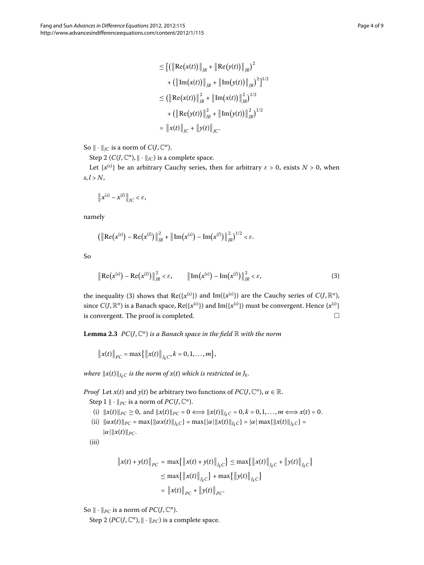$$
\leq [(\|\text{Re}(x(t))\|_{IR} + \|\text{Re}(y(t))\|_{IR})^{2} + (\|\text{Im}(x(t))\|_{IR} + \|\text{Im}(y(t))\|_{IR})^{2}]^{1/2}
$$

$$
\leq (|\text{Re}(x(t))\|_{IR}^{2} + \|\text{Im}(x(t))\|_{IR}^{2})^{1/2} + (\|\text{Re}(y(t))\|_{IR}^{2} + \|\text{Im}(y(t))\|_{IR}^{2})^{1/2}
$$

$$
= \|x(t)\|_{IC} + \|y(t)\|_{IC}.
$$

So  $\|\cdot\|_{\text{JC}}$  is a norm of  $C(J, \mathbb{C}^n)$ .

Step 2 ( $C(J, \mathbb{C}^n)$ ,  $\|\cdot\|_{IC}$ ) is a complete space.

Let  $\{x^{(s)}\}$  be an arbitrary Cauchy series, then for arbitrary  $\varepsilon > 0$ , exists  $N > 0$ , when  $s, l > N$ ,

<span id="page-3-0"></span>
$$
\left\|x^{(s)}-x^{(l)}\right\|_{JC}<\varepsilon,
$$

namely

$$
\left(\left\|\text{Re}\big(x^{(s)}\big) - \text{Re}\big(x^{(l)}\big)\right\|_{IR}^2 + \left\|\text{Im}\big(x^{(s)}\big) - \text{Im}\big(x^{(l)}\big)\right\|_{IR}^2\right)^{1/2} < \varepsilon.
$$

<span id="page-3-1"></span>So

$$
\|\text{Re}(x^{(s)}) - \text{Re}(x^{(l)})\|_{IR}^2 < \varepsilon, \qquad \|\text{Im}(x^{(s)}) - \text{Im}(x^{(l)})\|_{IR}^2 < \varepsilon,
$$
 (3)

the inequality (3[\)](#page-3-0) shows that  $\text{Re}(\{x^{(s)}\})$  and  $\text{Im}(\{x^{(s)}\})$  are the Cauchy series of  $C(J,\mathbb{R}^n)$ , since  $C(J,\R^n)$  is a Banach space,  $\text{Re}(\{x^{(s)}\})$  and  $\text{Im}(\{x^{(s)}\})$  must be convergent. Hence  $\{x^{(s)}\}$ is convergent. The proof is completed.  $\hfill \Box$ 

**Lemma 2.3**  $PC(J, \mathbb{C}^n)$  *is a Banach space in the field*  $\mathbb{R}$  *with the norm* 

 $\|x(t)\|_{PC} = \max\{\|x(t)\|_{J_kC}, k = 0, 1, ..., m\},\$ 

*where*  $||x(t)||_{I_kC}$  *is the norm of*  $x(t)$  *which is restricted in*  $J_k$ *.* 

*Proof* Let *x*(*t*) and *y*(*t*) be arbitrary two functions of *PC*(*J*,  $\mathbb{C}^n$ ),  $\alpha \in \mathbb{R}$ . Step  $1 \parallel \cdot \parallel_{PC}$  is a norm of *PC*(*J*,  $\mathbb{C}^n$ ).

- (i)  $||x(t)||_{PC} \ge 0$ , and  $||x(t)||_{PC} = 0 \iff ||x(t)||_{I_kC} = 0, k = 0, 1, ..., m \iff x(t) = 0$ .
- (ii)  $\|\alpha x(t)\|_{PC} = \max\{\|\alpha x(t)\|_{J_kC}\} = \max\{\alpha\|x(t)\|_{J_kC}\} = |\alpha| \max\{\|\alpha(t)\|_{J_kC}\} =$  $|\alpha| ||x(t)||_{PC}.$

$$
\rm (iii)
$$

$$
\|x(t) + y(t)\|_{PC} = \max\{\left\|x(t) + y(t)\right\|_{J_kC}\} \le \max\{\left\|x(t)\right\|_{J_kC} + \left\|y(t)\right\|_{J_kC}\}
$$

$$
\le \max\{\left\|x(t)\right\|_{J_kC}\} + \max\{\left\|y(t)\right\|_{J_kC}\}
$$

$$
= \left\|x(t)\right\|_{PC} + \left\|y(t)\right\|_{PC}.
$$

So  $\|\cdot\|_{PC}$  is a norm of  $PC(J, \mathbb{C}^n)$ .

Step 2 ( $PC(J, \mathbb{C}^n)$ ,  $\|\cdot\|_{PC}$ ) is a complete space.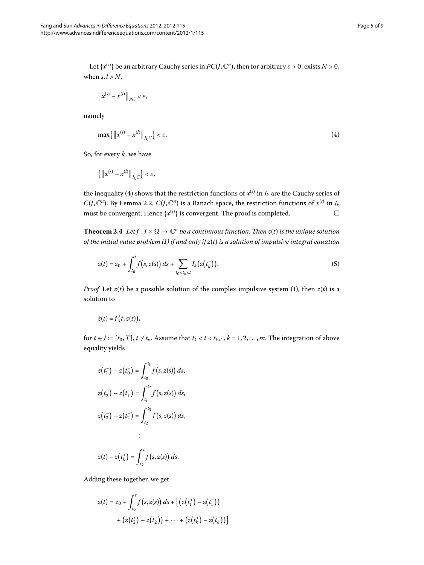Let  $\{x^{(s)}\}$  be an arbitrary Cauchy series in  $PC(J, \mathbb{C}^n)$ , then for arbitrary  $\varepsilon > 0$ , exists  $N > 0$ , when  $s, l > N$ ,

<span id="page-4-0"></span>
$$
\left\|x^{(s)}-x^{(l)}\right\|_{PC}<\varepsilon,
$$

namely

$$
\max\{\|x^{(s)} - x^{(l)}\|_{J_kC}\} < \varepsilon. \tag{4}
$$

<span id="page-4-2"></span>So, for every *k*, we have

<span id="page-4-1"></span>
$$
\left\{\left\| \boldsymbol{x}^{\left(s\right)}-\boldsymbol{x}^{\left(l\right)}\right\| _{J_{k}C}\right\} <\varepsilon,
$$

the inequality (4) shows that the restriction functions of  $x^{(s)}$  in  $J_k$  are the Cauchy series of *C*(*J*, C<sup>*n*</sup>). By Lemma 2.2, *C*(*J*, C<sup>*n*</sup>) is a Banach space, the restriction functions of  $x^{(s)}$  in  $J_k$ must be convergent. Hence  $\{x^{(s)}\}$  is convergent. The proof is completed.  $\Box$  $\Box$ 

**Theorem 2.4** Let  $f : J \times \Omega \to \mathbb{C}^n$  be a continuous function. Then  $z(t)$  is the unique solution *of the initial value problem [\(\)](#page-2-0) if and only if z*(*t*) *is a solution of impulsive integral equation*

$$
z(t) = z_0 + \int_{t_0}^t f(s, z(s)) ds + \sum_{t_0 < t_k < t} I_k(z(t_k^-)).
$$
\n(5)

*Proof* Let  $z(t)$  $z(t)$  be a possible solution of the complex impulsive system (1), then  $z(t)$  is a solution to

$$
\dot{z}(t) = f(t, z(t)),
$$

for  $t \in J := [t_0, T]$ ,  $t \neq t_k$ . Assume that  $t_k < t < t_{k+1}$ ,  $k = 1, 2, ..., m$ . The integration of above equality yields

$$
z(t_1^-) - z(t_0^+) = \int_{t_0}^{t_1} f(s, z(s)) ds,
$$
  
\n
$$
z(t_2^-) - z(t_1^+) = \int_{t_1}^{t_2} f(s, z(s)) ds,
$$
  
\n
$$
z(t_3^-) - z(t_2^+) = \int_{t_2}^{t_3} f(s, z(s)) ds,
$$
  
\n
$$
\vdots
$$
  
\n
$$
z(t) - z(t_k^+) = \int_{t_k}^{t} f(s, z(s)) ds.
$$

Adding these together, we get

$$
z(t) = z_0 + \int_{t_0}^t f(s, z(s)) ds + \left[ \left( z(t_1^+) - z(t_1^-) \right) + \left( z(t_2^+) - z(t_2^-) \right) + \dots + \left( z(t_k^+) - z(t_k^-) \right) \right]
$$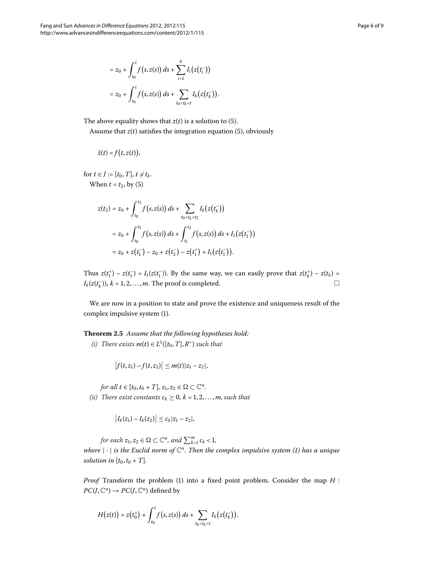$$
= z_0 + \int_{t_0}^t f(s, z(s)) ds + \sum_{i=1}^k I_i(z(t_i^-))
$$
  

$$
= z_0 + \int_{t_0}^t f(s, z(s)) ds + \sum_{t_0 < t_k < t} I_k(z(t_k^-)).
$$

The above equality shows that  $z(t)$  is a solution to (5).

Assume that  $z(t)$  $z(t)$  $z(t)$  satisfies the integration equation (5), obviously

$$
\dot{z}(t) = f(t, z(t)),
$$

for  $t \in J := [t_0, T], t \neq t_k$ . When  $t = t_2$ , by [\(](#page-4-1)5)

$$
z(t_2) = z_0 + \int_{t_0}^{t_2} f(s, z(s)) ds + \sum_{t_0 < t_k < t_2} I_k(z(t_k^-))
$$
  
=  $z_0 + \int_{t_0}^{t_1} f(s, z(s)) ds + \int_{t_1}^{t_2} f(s, z(s)) ds + I_1(z(t_1^-))$   
=  $z_0 + z(t_1^-) - z_0 + z(t_2^-) - z(t_1^+) + I_1(z(t_1^-)).$ 

<span id="page-5-0"></span>Thus  $z(t_1^+) - z(t_1^-) = I_1(z(t_1^-))$ . By the same way, we can easily prove that  $z(t_k^+) - z(t_k) =$  $I_k(z(t_k^-)), k = 1, 2, \ldots, m.$  The proof is completed.  $\Box$  $\Box$ 

We are now in a position to state and prove the existence and uniqueness result of the complex impulsive system (1).

**Theorem .** *Assume that the following hypotheses hold:*  $(i)$  There exists  $m(t) \in L^1([t_0, T], R^+)$  *such that* 

$$
\left|f(t,z_1)-f(t,z_2)\right|\leq m(t)|z_1-z_2|,
$$

*for all*  $t \in [t_0, t_0 + T]$ ,  $z_1, z_2 \in \Omega \subset \mathbb{C}^n$ .

*(ii)* There exist constants  $c_k \geq 0$ ,  $k = 1, 2, ..., m$ , such that

$$
|I_k(z_1) - I_k(z_2)| \leq c_k |z_1 - z_2|,
$$

*for each*  $z_1, z_2 \in \Omega \subset \mathbb{C}^n$ , and  $\sum_{k=1}^m c_k < 1$ ,

*where* |·| *is the Euclid norm of* <sup>C</sup>*n. Then the complex impulsive system [\(](#page-2-0)) has a unique solution in*  $[t_0, t_0 + T]$ *.* 

*Proof* Transform the problem (1[\)](#page-2-0) into a fixed point problem. Consider the map  $H$ :  $PC(J, \mathbb{C}^n) \rightarrow PC(J, \mathbb{C}^n)$  defined by

$$
H(z(t)) = z(t_0^+) + \int_{t_0}^t f(s, z(s)) ds + \sum_{t_0 < t_k < t} I_k(z(t_k^-)).
$$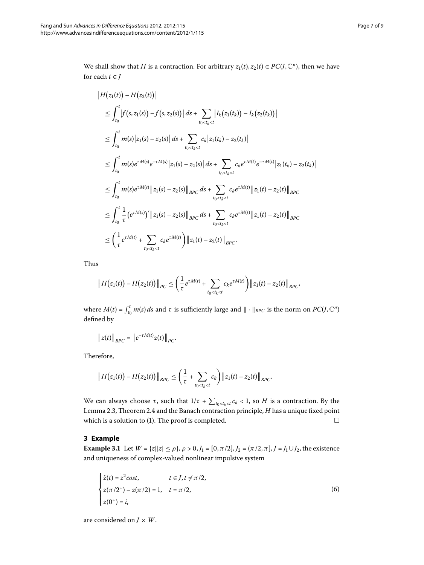We shall show that *H* is a contraction. For arbitrary  $z_1(t), z_2(t) \in PC(J, \mathbb{C}^n)$ , then we have for each  $t \in J$ 

$$
\begin{split}\n&|H(z_{1}(t)) - H(z_{2}(t))| \\
&\leq \int_{t_{0}}^{t} |f(s,z_{1}(s)) - f(s,z_{2}(s))| ds + \sum_{t_{0} < t_{k} < t} |I_{k}(z_{1}(t_{k})) - I_{k}(z_{2}(t_{k}))| \\
&\leq \int_{t_{0}}^{t} m(s) |z_{1}(s) - z_{2}(s)| ds + \sum_{t_{0} < t_{k} < t} c_{k} |z_{1}(t_{k}) - z_{2}(t_{k})| \\
&\leq \int_{t_{0}}^{t} m(s) e^{\tau M(s)} e^{-\tau M(s)} |z_{1}(s) - z_{2}(s)| ds + \sum_{t_{0} < t_{k} < t} c_{k} e^{\tau M(t)} e^{-\tau M(t)} |z_{1}(t_{k}) - z_{2}(t_{k})| \\
&\leq \int_{t_{0}}^{t} m(s) e^{\tau M(s)} ||z_{1}(s) - z_{2}(s)||_{BPC} ds + \sum_{t_{0} < t_{k} < t} c_{k} e^{\tau M(t)} ||z_{1}(t) - z_{2}(t)||_{BPC} \\
&\leq \int_{t_{0}}^{t} \frac{1}{\tau} (e^{\tau M(s)})' ||z_{1}(s) - z_{2}(s)||_{BPC} ds + \sum_{t_{0} < t_{k} < t} c_{k} e^{\tau M(t)} ||z_{1}(t) - z_{2}(t)||_{BPC} \\
&\leq \left( \frac{1}{\tau} e^{\tau M(t)} + \sum_{t_{0} < t_{k} < t} c_{k} e^{\tau M(t)} \right) ||z_{1}(t) - z_{2}(t)||_{BPC}.\n\end{split}
$$

Thus

$$
||H(z_1(t)) - H(z_2(t))||_{PC} \leq \left(\frac{1}{\tau}e^{\tau M(t)} + \sum_{t_0 < t_k < t} c_k e^{\tau M(t)}\right) ||z_1(t) - z_2(t)||_{BPC},
$$

where  $M(t) = \int_{t_0}^t m(s) ds$  and  $\tau$  is sufficiently large and  $\| \cdot \|_{BPC}$  is the norm on  $PC(J, \mathbb{C}^n)$ defined by

$$
\|z(t)\|_{BPC}=\|e^{-\tau M(t)}z(t)\|_{PC}.
$$

<span id="page-6-0"></span>Therefore,

$$
||H(z_1(t))-H(z_2(t))||_{BPC} \leq \left(\frac{1}{\tau}+\sum_{t_0
$$

We can always choose *τ*, such that  $1/τ + \sum_{t_0 < t_k < t} c_k < 1$ , so *H* is a contraction. By the Lemma 2[.](#page-4-2)3, Theorem 2.4 and the Banach contraction principle, *H* has a unique fixed point which is a solution to  $(1)$  $(1)$ . The proof is completed.  $\Box$ 

#### **3 Example**

**Example 3.1** Let  $W = \{z | |z| \le \rho\}$ ,  $\rho > 0$ ,  $J_1 = [0, \pi/2]$ ,  $J_2 = (\pi/2, \pi], J = J_1 \cup J_2$ , the existence and uniqueness of complex-valued nonlinear impulsive system

<span id="page-6-1"></span>
$$
\begin{cases}\n\dot{z}(t) = z^2 \cos t, & t \in J, t \neq \pi/2, \\
z(\pi/2^+) - z(\pi/2) = 1, & t = \pi/2, \\
z(0^+) = i,\n\end{cases}
$$
\n(6)

are considered on  $J \times W$ .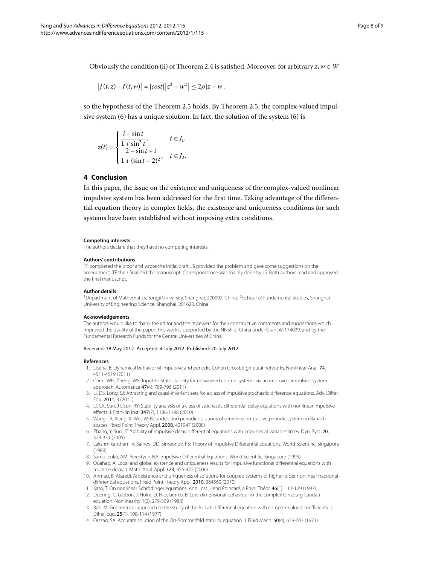Obviously the condition (ii) of Theorem 2[.](#page-4-2)4 is satisfied. Moreover, for arbitrary  $z, w \in W$ 

$$
|f(t,z) - f(t,w)| = |cost||z^2 - w^2| \le 2\rho |z - w|,
$$

<span id="page-7-11"></span>so the hypothesis of the Theorem 2[.](#page-5-0)5 holds. By Theorem 2.5, the complex-valued impulsive system  $(6)$  has a unique solution. In fact, the solution of the system  $(6)$  is

$$
z(t) = \begin{cases} \frac{i - \sin t}{1 + \sin^2 t}, & t \in J_1, \\ \frac{2 - \sin t + i}{1 + (\sin t - 2)^2}, & t \in J_2. \end{cases}
$$

#### **4 Conclusion**

In this paper, the issue on the existence and uniqueness of the complex-valued nonlinear impulsive system has been addressed for the first time. Taking advantage of the differential equation theory in complex fields, the existence and uniqueness conditions for such systems have been established without imposing extra conditions.

#### <span id="page-7-1"></span><span id="page-7-0"></span>**Competing interests**

The authors declare that they have no competing interests.

#### **Authors' contributions**

TF completed the proof and wrote the initial draft. JS provided the problem and gave some suggestions on the amendment. TF then finalized the manuscript. Correspondence was mainly done by JS. Both authors read and approved the final manuscript.

#### **Author details**

<span id="page-7-2"></span><sup>1</sup>Department of Mathematics, Tongji University, Shanghai, 200092, China. <sup>2</sup>School of Fundamental Studies, Shanghai University of Engineering Science, Shanghai, 201620, China.

#### **Acknowledgements**

The authors would like to thank the editor and the reviewers for their constructive comments and suggestions which improved the quality of the paper. This work is supported by the NNSF of China under Grant 61174039, and by the Fundamental Research Funds for the Central Universities of China.

#### Received: 18 May 2012 Accepted: 4 July 2012 Published: 20 July 2012

#### **References**

- 1. Lisena, B: Dynamical behavior of impulsive and periodic Cohen Grossberg neural networks. Nonlinear Anal. 74, 4511-4519 (2011)
- <span id="page-7-3"></span>2. Chen, WH, Zheng, WX: Input-to-state stability for networked control systems via an improved impulsive system approach. Automatica 47(4), 789-796 (2011)
- <span id="page-7-5"></span><span id="page-7-4"></span>3. Li, DS, Long, SJ: Attracting and quasi-invariant sets for a class of impulsive stochastic difference equations. Adv. Differ. Equ. 2011, 3 (2011)
- 4. Li, CX, Sun, JT, Sun, RY: Stability analysis of a class of stochastic differential delay equations with nonlinear impulsive effects. J. Franklin Inst. 347(7), 1186-1198 (2010)
- <span id="page-7-7"></span><span id="page-7-6"></span>5. Wang, JR, Xiang, X, Wei, W: Bounded and periodic solutions of semilinear impulsive periodic system on Banach spaces. Fixed Point Theory Appl. 2008, 401947 (2008)
- <span id="page-7-8"></span>6. Zhang, Y, Sun, JT: Stability of impulsive delay differential equations with impulses at variable times. Dyn. Syst. 20, 323-331 (2005)
- <span id="page-7-9"></span>7. Lakshmikantham, V, Bainov, DD, Simeonov, PS: Theory of Impulsive Differential Equations. World Scientific, Singapore (1989)
- <span id="page-7-10"></span>8. Samoilenko, AM, Perestyuk, NA: Impulsive Differential Equations. World Scientific, Singapore (1995)
- 9. Ouahab, A: Local and global existence and uniqueness results for impulsive functional differential equations with multiple delay. J. Math. Anal. Appl. 323, 456-472 (2006)
- 10. Ahmad, B, Alsaedi, A: Existence and uniqueness of solutions for coupled systems of higher-order nonlinear fractional differential equations. Fixed Point Theory Appl. 2010, 364560 (2010)
- 11. Kato, T: On nonlinear Schrödinger equations. Ann. Inst. Henri Poincaré, a Phys. Théor. 46(1), 113-129 (1987)
- 12. Doering, C, Gibbon, J, Holm, D, Nicolaenko, B: Low-dimensional behaviour in the complex Ginzburg-Landau equation. Nonlinearity 1(2), 279-309 (1988)
- 13. Ráb, M: Geometrical approach to the study of the Riccati differential equation with complex-valued coefficients. J. Differ. Equ. 25(1), 108-114 (1977)
- 14. Orszag, SA: Accurate solution of the Orr-Sommerfeld stability equation. J. Fluid Mech. 50(4), 659-703 (1971)